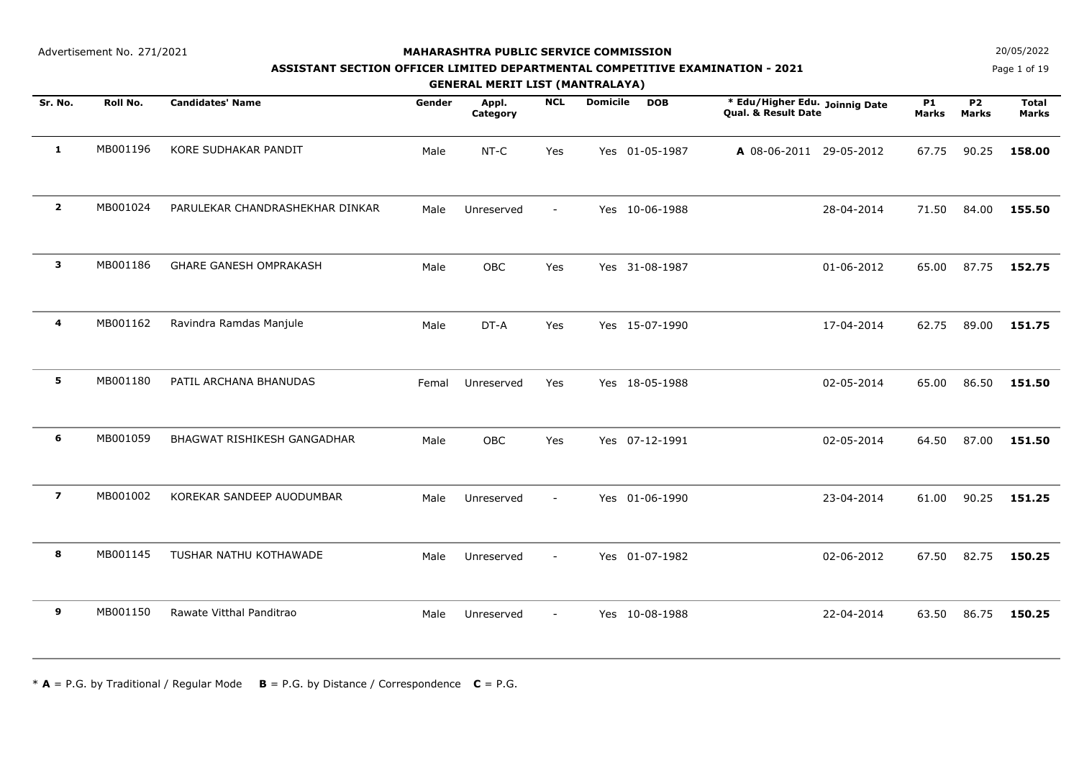#### **MAHARASHTRA PUBLIC SERVICE COMMISSION**

# **ASSISTANT SECTION OFFICER LIMITED DEPARTMENTAL COMPETITIVE EXAMINATION - 2021**

**GENERAL MERIT LIST (MANTRALAYA)**

**N**  $20/05/2022$ 

Page 1 of 19

|                |          |                                 | . .    |                   |            | w Lw Lw         |                |                                                       |                           |                                |                              |
|----------------|----------|---------------------------------|--------|-------------------|------------|-----------------|----------------|-------------------------------------------------------|---------------------------|--------------------------------|------------------------------|
| Sr. No.        | Roll No. | <b>Candidates' Name</b>         | Gender | Appl.<br>Category | <b>NCL</b> | <b>Domicile</b> | <b>DOB</b>     | * Edu/Higher Edu. Joinnig Date<br>Qual. & Result Date | <b>P1</b><br><b>Marks</b> | P <sub>2</sub><br><b>Marks</b> | <b>Total</b><br><b>Marks</b> |
| 1              | MB001196 | <b>KORE SUDHAKAR PANDIT</b>     | Male   | NT-C              | Yes        |                 | Yes 01-05-1987 | A 08-06-2011 29-05-2012                               | 67.75                     | 90.25                          | 158.00                       |
| $\overline{2}$ | MB001024 | PARULEKAR CHANDRASHEKHAR DINKAR | Male   | Unreserved        | $\sim$     |                 | Yes 10-06-1988 | 28-04-2014                                            | 71.50                     | 84.00                          | 155.50                       |
| 3              | MB001186 | <b>GHARE GANESH OMPRAKASH</b>   | Male   | <b>OBC</b>        | Yes        |                 | Yes 31-08-1987 | 01-06-2012                                            | 65.00                     | 87.75                          | 152.75                       |
| 4              | MB001162 | Ravindra Ramdas Manjule         | Male   | DT-A              | Yes        |                 | Yes 15-07-1990 | 17-04-2014                                            | 62.75                     | 89.00                          | 151.75                       |
| 5              | MB001180 | PATIL ARCHANA BHANUDAS          | Femal  | Unreserved        | Yes        |                 | Yes 18-05-1988 | 02-05-2014                                            | 65.00                     | 86.50                          | 151.50                       |
| 6              | MB001059 | BHAGWAT RISHIKESH GANGADHAR     | Male   | OBC               | Yes        |                 | Yes 07-12-1991 | 02-05-2014                                            | 64.50                     | 87.00                          | 151.50                       |
| $\overline{z}$ | MB001002 | KOREKAR SANDEEP AUODUMBAR       | Male   | Unreserved        | $\sim$     |                 | Yes 01-06-1990 | 23-04-2014                                            | 61.00                     | 90.25                          | 151.25                       |
| 8              | MB001145 | TUSHAR NATHU KOTHAWADE          | Male   | Unreserved        | $\sim$     |                 | Yes 01-07-1982 | 02-06-2012                                            | 67.50                     | 82.75                          | 150.25                       |
| 9              | MB001150 | Rawate Vitthal Panditrao        | Male   | Unreserved        | $\sim$     |                 | Yes 10-08-1988 | 22-04-2014                                            | 63.50                     | 86.75                          | 150.25                       |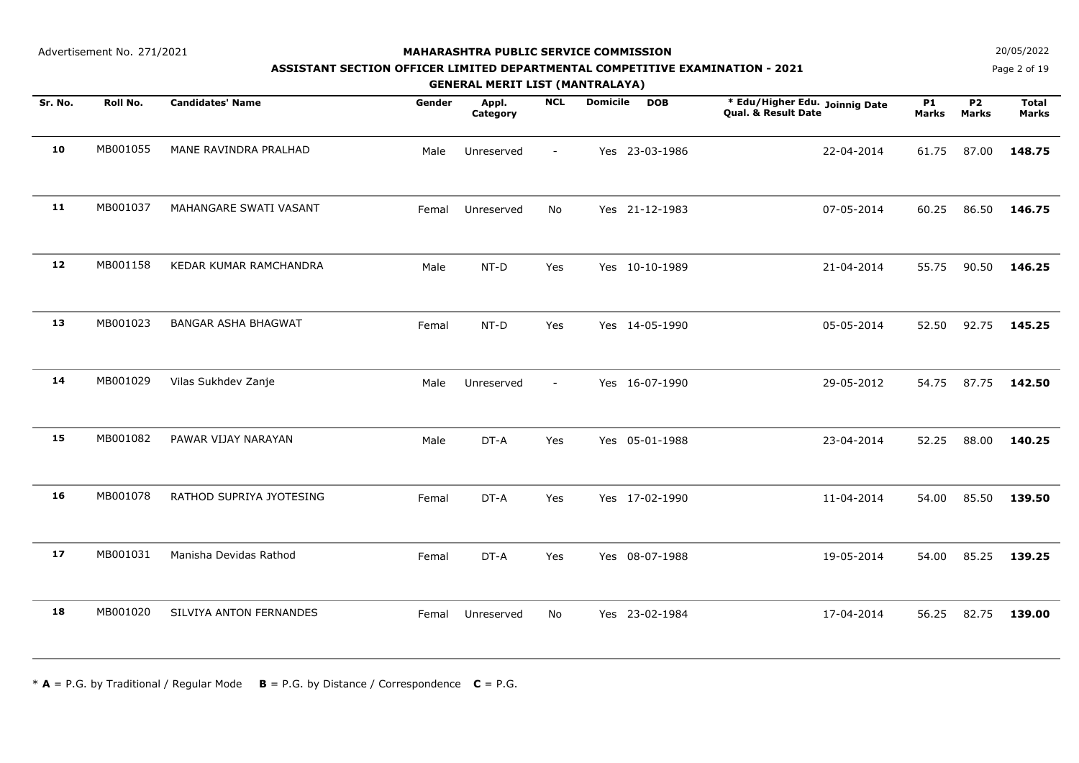## **ASSISTANT SECTION OFFICER LIMITED DEPARTMENTAL COMPETITIVE EXAMINATION - 2021**

**GENERAL MERIT LIST (MANTRALAYA)**

**N**  $20/05/2022$ 

Page 2 of 19

| Sr. No. | Roll No. | <b>Candidates' Name</b>        | Gender | Appl.<br>Category | <b>NCL</b> | <b>Domicile</b> | <b>DOB</b>     | * Edu/Higher Edu. Joinnig Date<br>Qual. & Result Date | <b>P1</b><br>Marks | <b>P2</b><br><b>Marks</b> | <b>Total</b><br><b>Marks</b> |
|---------|----------|--------------------------------|--------|-------------------|------------|-----------------|----------------|-------------------------------------------------------|--------------------|---------------------------|------------------------------|
| 10      | MB001055 | MANE RAVINDRA PRALHAD          | Male   | Unreserved        | $\sim$     |                 | Yes 23-03-1986 | 22-04-2014                                            | 61.75              | 87.00                     | 148.75                       |
| 11      | MB001037 | MAHANGARE SWATI VASANT         | Femal  | Unreserved        | No         |                 | Yes 21-12-1983 | 07-05-2014                                            | 60.25              | 86.50                     | 146.75                       |
| 12      | MB001158 | KEDAR KUMAR RAMCHANDRA         | Male   | NT-D              | Yes        |                 | Yes 10-10-1989 | 21-04-2014                                            | 55.75              | 90.50                     | 146.25                       |
| 13      | MB001023 | <b>BANGAR ASHA BHAGWAT</b>     | Femal  | NT-D              | Yes        |                 | Yes 14-05-1990 | 05-05-2014                                            | 52.50              | 92.75                     | 145.25                       |
| 14      | MB001029 | Vilas Sukhdev Zanje            | Male   | Unreserved        | $\sim$     |                 | Yes 16-07-1990 | 29-05-2012                                            | 54.75              | 87.75                     | 142.50                       |
| 15      | MB001082 | PAWAR VIJAY NARAYAN            | Male   | DT-A              | Yes        |                 | Yes 05-01-1988 | 23-04-2014                                            | 52.25              | 88.00                     | 140.25                       |
| 16      | MB001078 | RATHOD SUPRIYA JYOTESING       | Femal  | DT-A              | Yes        |                 | Yes 17-02-1990 | 11-04-2014                                            | 54.00              | 85.50                     | 139.50                       |
| 17      | MB001031 | Manisha Devidas Rathod         | Femal  | DT-A              | Yes        |                 | Yes 08-07-1988 | 19-05-2014                                            | 54.00              | 85.25                     | 139.25                       |
| 18      | MB001020 | <b>SILVIYA ANTON FERNANDES</b> | Femal  | Unreserved        | <b>No</b>  |                 | Yes 23-02-1984 | 17-04-2014                                            | 56.25              | 82.75                     | 139.00                       |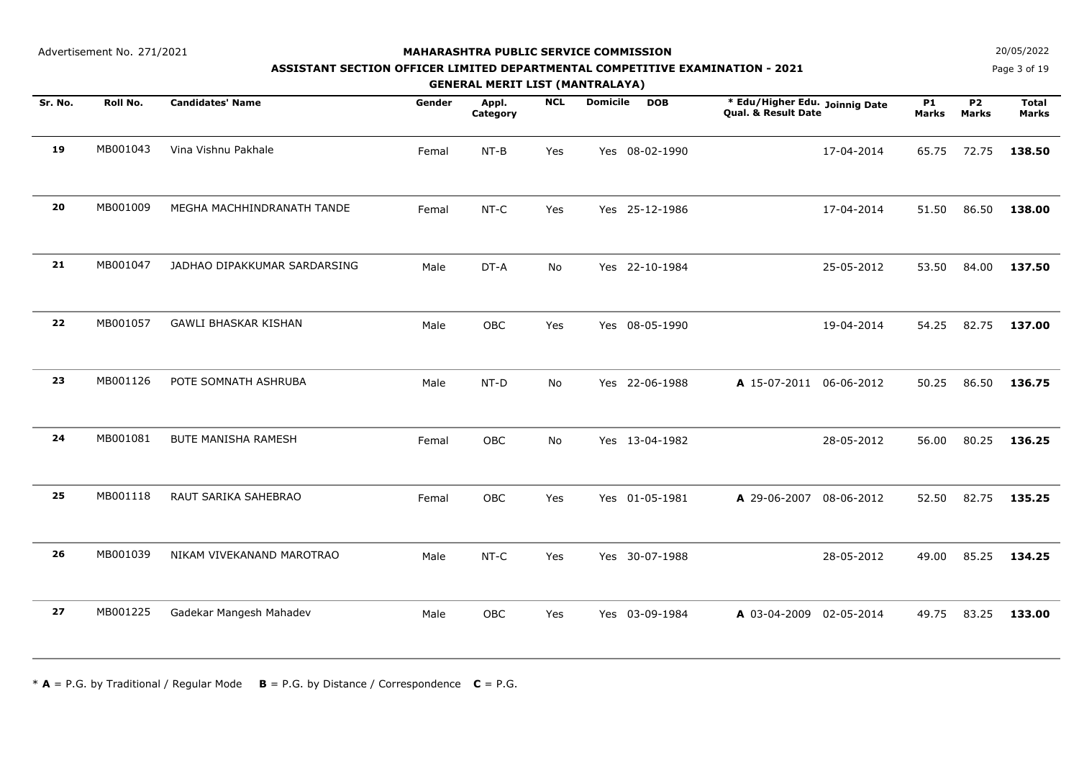## **ASSISTANT SECTION OFFICER LIMITED DEPARTMENTAL COMPETITIVE EXAMINATION - 2021**

**GENERAL MERIT LIST (MANTRALAYA)**

| N | 20/05/2022 |
|---|------------|
|   |            |

Page 3 of 19

| Sr. No. | Roll No. | <b>Candidates' Name</b>      | Gender | Appl.<br>Category | <b>NCL</b> | <b>Domicile</b><br><b>DOB</b> | * Edu/Higher Edu. Joinnig Date<br>Qual. & Result Date | <b>P1</b><br>Marks | <b>P2</b><br><b>Marks</b> | <b>Total</b><br><b>Marks</b> |
|---------|----------|------------------------------|--------|-------------------|------------|-------------------------------|-------------------------------------------------------|--------------------|---------------------------|------------------------------|
| 19      | MB001043 | Vina Vishnu Pakhale          | Femal  | $NT-B$            | Yes        | Yes 08-02-1990                | 17-04-2014                                            | 65.75              | 72.75                     | 138.50                       |
| 20      | MB001009 | MEGHA MACHHINDRANATH TANDE   | Femal  | NT-C              | Yes        | Yes 25-12-1986                | 17-04-2014                                            | 51.50              | 86.50                     | 138.00                       |
| 21      | MB001047 | JADHAO DIPAKKUMAR SARDARSING | Male   | DT-A              | No         | Yes 22-10-1984                | 25-05-2012                                            | 53.50              | 84.00                     | 137.50                       |
| 22      | MB001057 | <b>GAWLI BHASKAR KISHAN</b>  | Male   | OBC               | Yes        | Yes 08-05-1990                | 19-04-2014                                            | 54.25              | 82.75                     | 137.00                       |
| 23      | MB001126 | POTE SOMNATH ASHRUBA         | Male   | NT-D              | No         | Yes 22-06-1988                | A 15-07-2011 06-06-2012                               | 50.25              | 86.50                     | 136.75                       |
| 24      | MB001081 | BUTE MANISHA RAMESH          | Femal  | <b>OBC</b>        | <b>No</b>  | Yes 13-04-1982                | 28-05-2012                                            | 56.00              | 80.25                     | 136.25                       |
| 25      | MB001118 | RAUT SARIKA SAHEBRAO         | Femal  | OBC               | Yes        | Yes 01-05-1981                | A 29-06-2007<br>08-06-2012                            | 52.50              | 82.75                     | 135.25                       |
| 26      | MB001039 | NIKAM VIVEKANAND MAROTRAO    | Male   | NT-C              | Yes        | Yes 30-07-1988                | 28-05-2012                                            | 49.00              | 85.25                     | 134.25                       |
| 27      | MB001225 | Gadekar Mangesh Mahadev      | Male   | <b>OBC</b>        | Yes        | Yes 03-09-1984                | A 03-04-2009<br>02-05-2014                            | 49.75              | 83.25                     | 133.00                       |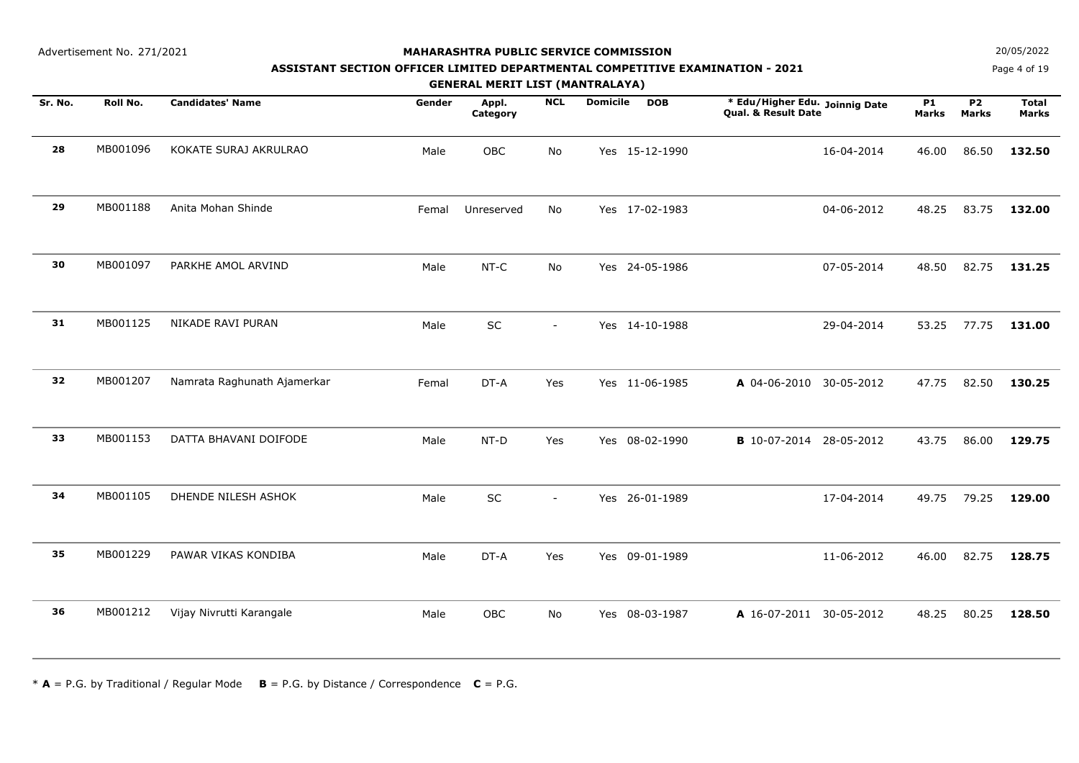### **ASSISTANT SECTION OFFICER LIMITED DEPARTMENTAL COMPETITIVE EXAMINATION - 2021**

**GENERAL MERIT LIST (MANTRALAYA)**

**N**  $20/05/2022$ 

Page 4 of 19

|         |          |                             | GENERAE MERIT EIST (MANTRAEATA) |                   |            |                 |                |                                                       |            |                    |                           |                              |
|---------|----------|-----------------------------|---------------------------------|-------------------|------------|-----------------|----------------|-------------------------------------------------------|------------|--------------------|---------------------------|------------------------------|
| Sr. No. | Roll No. | <b>Candidates' Name</b>     | Gender                          | Appl.<br>Category | <b>NCL</b> | <b>Domicile</b> | <b>DOB</b>     | * Edu/Higher Edu. Joinnig Date<br>Qual. & Result Date |            | <b>P1</b><br>Marks | <b>P2</b><br><b>Marks</b> | <b>Total</b><br><b>Marks</b> |
| 28      | MB001096 | KOKATE SURAJ AKRULRAO       | Male                            | OBC               | No         |                 | Yes 15-12-1990 |                                                       | 16-04-2014 | 46.00              | 86.50                     | 132.50                       |
| 29      | MB001188 | Anita Mohan Shinde          | Femal                           | Unreserved        | No         |                 | Yes 17-02-1983 |                                                       | 04-06-2012 | 48.25              | 83.75                     | 132.00                       |
| 30      | MB001097 | PARKHE AMOL ARVIND          | Male                            | NT-C              | No         |                 | Yes 24-05-1986 |                                                       | 07-05-2014 | 48.50              | 82.75                     | 131.25                       |
| 31      | MB001125 | NIKADE RAVI PURAN           | Male                            | SC                | $\sim$     |                 | Yes 14-10-1988 |                                                       | 29-04-2014 | 53.25              | 77.75                     | 131.00                       |
| 32      | MB001207 | Namrata Raghunath Ajamerkar | Femal                           | DT-A              | Yes        |                 | Yes 11-06-1985 | A 04-06-2010 30-05-2012                               |            | 47.75              | 82.50                     | 130.25                       |
| 33      | MB001153 | DATTA BHAVANI DOIFODE       | Male                            | NT-D              | Yes        |                 | Yes 08-02-1990 | B 10-07-2014 28-05-2012                               |            | 43.75              | 86.00                     | 129.75                       |
| 34      | MB001105 | DHENDE NILESH ASHOK         | Male                            | <b>SC</b>         |            |                 | Yes 26-01-1989 |                                                       | 17-04-2014 | 49.75              | 79.25                     | 129.00                       |
| 35      | MB001229 | PAWAR VIKAS KONDIBA         | Male                            | DT-A              | Yes        |                 | Yes 09-01-1989 |                                                       | 11-06-2012 | 46.00              | 82.75                     | 128.75                       |
| 36      | MB001212 | Vijay Nivrutti Karangale    | Male                            | OBC               | No         |                 | Yes 08-03-1987 | A 16-07-2011 30-05-2012                               |            | 48.25              | 80.25                     | 128.50                       |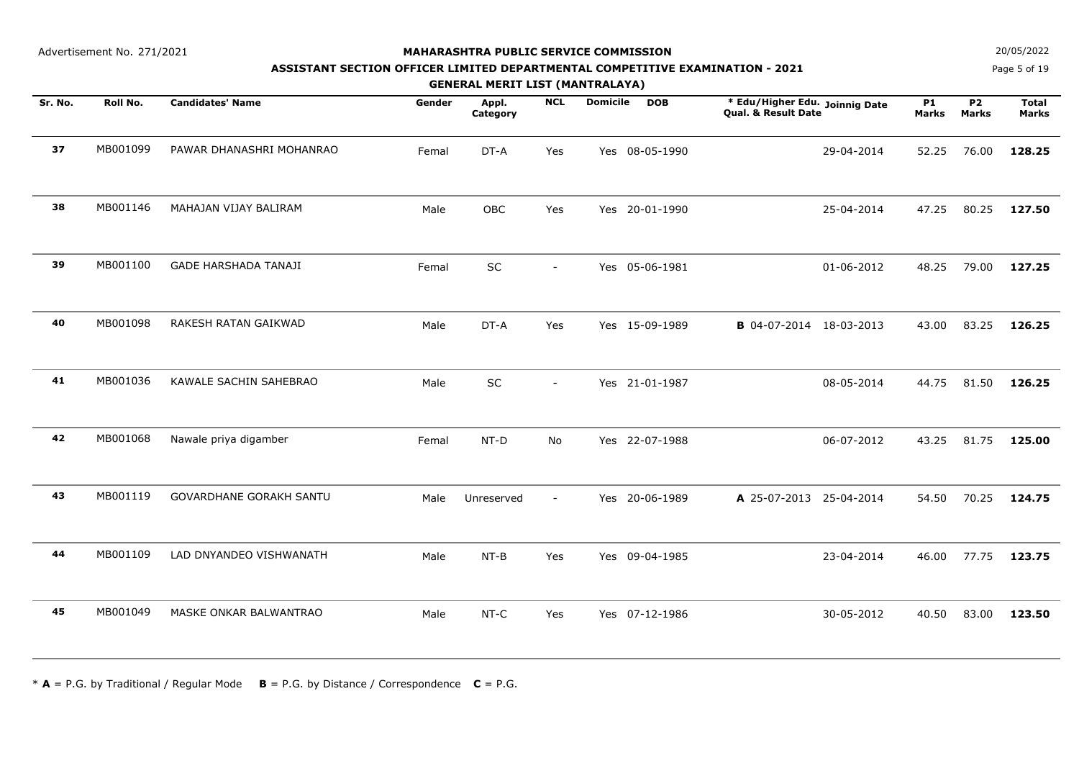#### **MAHARASHTRA PUBLIC SERVICE COMMISSION**

**ASSISTANT SECTION OFFICER LIMITED DEPARTMENTAL COMPETITIVE EXAMINATION - 2021**

**NCL**

**Domicile**

**GENERAL MERIT LIST (MANTRALAYA)**

Page 5 of 19**N**  $20/05/2022$ 

**Sr. No.**. Roll No. Candidates' Name **the State of Apple Appl. NCL Domicile DOB the Adul** Higher Edu. Joinnig Date P1 P2 Total **Qual. & Result Date Roll No. Candidates' Name Gender Appl. DOBCategoryMarksP1 MarksP2 Marks37** MB001099 PAWAR DHANASHRI MOHANRAO Femal DT-A Yes Yes 08-05-1990 29-04-2014 52.25 76.00 **128.25 38** MB001146 MAHAJAN VIJAY BALIRAM Male OBC Yes Yes 20-01-1990 25-04-2014 47.25 80.25 **127.50 39** MB001100 GADE HARSHADA TANAJI Femal SC - Yes 05-06-1981 01-06-2012 48.25 79.00 **127.25 40** MB001098 RAKESH RATAN GAIKWAD Male DT-A Yes Yes 15-09-1989 **<sup>B</sup>** 04-07-2014 00:00:00 18-03-2013 43.00 83.25 **126.25 41** MB001036 KAWALE SACHIN SAHEBRAO Male SC - Yes 21-01-1987 08-05-2014 44.75 81.50 **126.25 42** MB001068 Nawale priya digamber Femal NT-D No Yes 22-07-1988 06-07-2012 43.25 81.75 **125.00 43** MB001119 GOVARDHANE GORAKH SANTU Male Unreserved - Yes 20-06-1989 **<sup>A</sup>** 25-07-2013 00:00:00 25-04-2014 54.50 70.25 **124.75 44** MB001109 LAD DNYANDEO VISHWANATHMale NT-B Yes Yes 09-04-1985 23-04-2014 46.00 77.75 **123.75**

**45** MB001049 MASKE ONKAR BALWANTRAOMale NT-C Yes Yes 07-12-1986 30-05-2012 40.50 83.00 **123.50**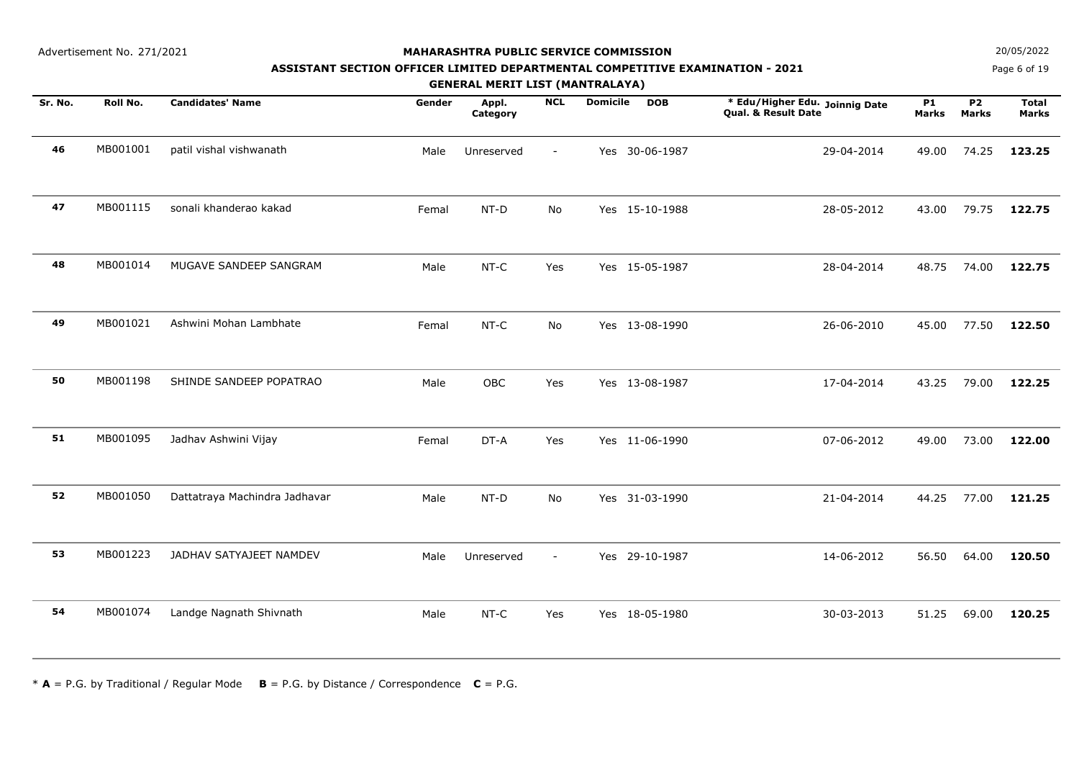### **ASSISTANT SECTION OFFICER LIMITED DEPARTMENTAL COMPETITIVE EXAMINATION - 2021**

**GENERAL MERIT LIST (MANTRALAYA)**

| N | 20/05/2022 |
|---|------------|
|   |            |

Page 6 of 19

| GENERAL MERIT LIST (MANTRALATA) |          |                               |        |                   |            |                 |                |                                                       |                    |                           |                              |
|---------------------------------|----------|-------------------------------|--------|-------------------|------------|-----------------|----------------|-------------------------------------------------------|--------------------|---------------------------|------------------------------|
| Sr. No.                         | Roll No. | <b>Candidates' Name</b>       | Gender | Appl.<br>Category | <b>NCL</b> | <b>Domicile</b> | <b>DOB</b>     | * Edu/Higher Edu. Joinnig Date<br>Qual. & Result Date | <b>P1</b><br>Marks | <b>P2</b><br><b>Marks</b> | <b>Total</b><br><b>Marks</b> |
| 46                              | MB001001 | patil vishal vishwanath       | Male   | Unreserved        | $\sim$     |                 | Yes 30-06-1987 | 29-04-2014                                            | 49.00              | 74.25                     | 123.25                       |
| 47                              | MB001115 | sonali khanderao kakad        | Femal  | NT-D              | No         |                 | Yes 15-10-1988 | 28-05-2012                                            | 43.00              | 79.75                     | 122.75                       |
| 48                              | MB001014 | MUGAVE SANDEEP SANGRAM        | Male   | NT-C              | Yes        |                 | Yes 15-05-1987 | 28-04-2014                                            | 48.75              | 74.00                     | 122.75                       |
| 49                              | MB001021 | Ashwini Mohan Lambhate        | Femal  | NT-C              | No         |                 | Yes 13-08-1990 | 26-06-2010                                            | 45.00              | 77.50                     | 122.50                       |
| 50                              | MB001198 | SHINDE SANDEEP POPATRAO       | Male   | OBC               | Yes        |                 | Yes 13-08-1987 | 17-04-2014                                            | 43.25              | 79.00                     | 122.25                       |
| 51                              | MB001095 | Jadhav Ashwini Vijay          | Femal  | DT-A              | Yes        |                 | Yes 11-06-1990 | 07-06-2012                                            | 49.00              | 73.00                     | 122.00                       |
| 52                              | MB001050 | Dattatraya Machindra Jadhavar | Male   | NT-D              | No         |                 | Yes 31-03-1990 | 21-04-2014                                            | 44.25              | 77.00                     | 121.25                       |
| 53                              | MB001223 | JADHAV SATYAJEET NAMDEV       | Male   | Unreserved        |            |                 | Yes 29-10-1987 | 14-06-2012                                            | 56.50              | 64.00                     | 120.50                       |
| 54                              | MB001074 | Landge Nagnath Shivnath       | Male   | NT-C              | Yes        |                 | Yes 18-05-1980 | 30-03-2013                                            | 51.25              | 69.00                     | 120.25                       |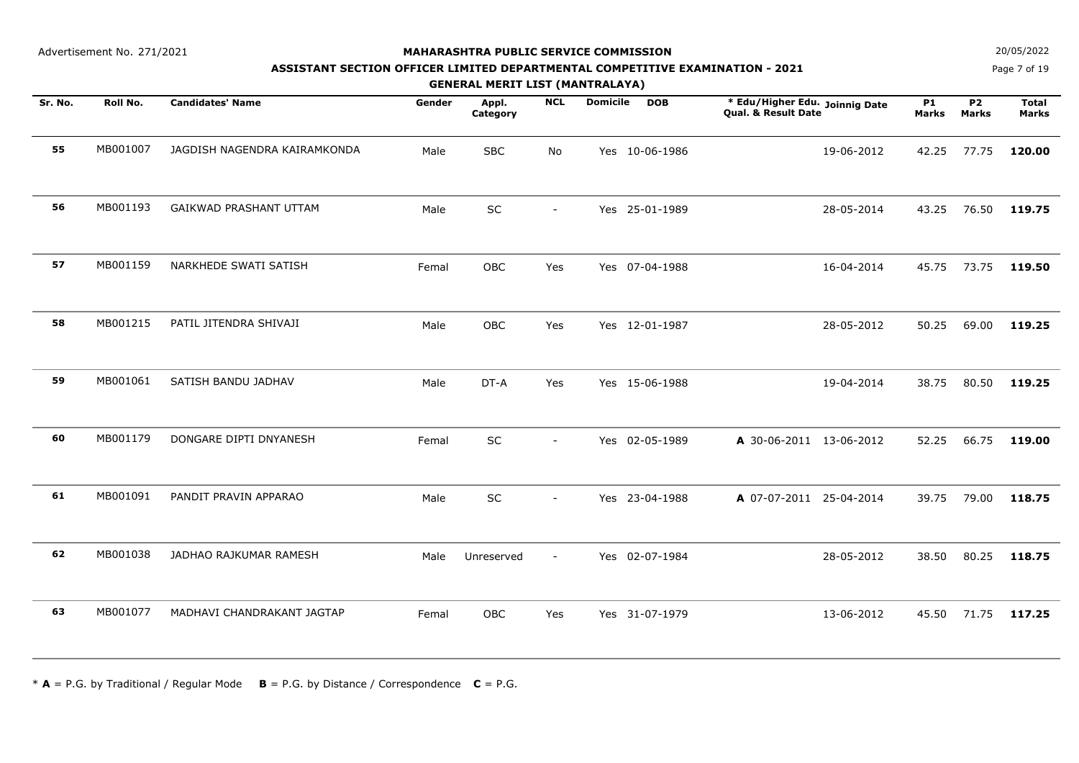#### **MAHARASHTRA PUBLIC SERVICE COMMISSION**

**ASSISTANT SECTION OFFICER LIMITED DEPARTMENTAL COMPETITIVE EXAMINATION - 2021**

**GENERAL MERIT LIST (MANTRALAYA)**

**N**  $20/05/2022$ 

Page 7 of 19

| GENERAL MERIT LIST (MANTRALAYA) |          |                              |        |                   |                |                 |                |                                                       |            |                           |                           |                       |
|---------------------------------|----------|------------------------------|--------|-------------------|----------------|-----------------|----------------|-------------------------------------------------------|------------|---------------------------|---------------------------|-----------------------|
| Sr. No.                         | Roll No. | <b>Candidates' Name</b>      | Gender | Appl.<br>Category | <b>NCL</b>     | <b>Domicile</b> | <b>DOB</b>     | * Edu/Higher Edu. Joinnig Date<br>Qual. & Result Date |            | <b>P1</b><br><b>Marks</b> | <b>P2</b><br><b>Marks</b> | <b>Total</b><br>Marks |
| 55                              | MB001007 | JAGDISH NAGENDRA KAIRAMKONDA | Male   | <b>SBC</b>        | No             |                 | Yes 10-06-1986 |                                                       | 19-06-2012 | 42.25                     | 77.75                     | 120.00                |
| 56                              | MB001193 | GAIKWAD PRASHANT UTTAM       | Male   | SC                | $\blacksquare$ |                 | Yes 25-01-1989 |                                                       | 28-05-2014 | 43.25                     | 76.50                     | 119.75                |
| 57                              | MB001159 | NARKHEDE SWATI SATISH        | Femal  | OBC               | Yes            |                 | Yes 07-04-1988 |                                                       | 16-04-2014 | 45.75                     | 73.75                     | 119.50                |
| 58                              | MB001215 | PATIL JITENDRA SHIVAJI       | Male   | <b>OBC</b>        | Yes            |                 | Yes 12-01-1987 |                                                       | 28-05-2012 | 50.25                     | 69.00                     | 119.25                |
| 59                              | MB001061 | SATISH BANDU JADHAV          | Male   | DT-A              | Yes            |                 | Yes 15-06-1988 |                                                       | 19-04-2014 | 38.75                     | 80.50                     | 119.25                |
| 60                              | MB001179 | DONGARE DIPTI DNYANESH       | Femal  | SC                | $\sim$         |                 | Yes 02-05-1989 | A 30-06-2011 13-06-2012                               |            | 52.25                     | 66.75                     | 119.00                |
| 61                              | MB001091 | PANDIT PRAVIN APPARAO        | Male   | SC                | $\sim$         |                 | Yes 23-04-1988 | A 07-07-2011 25-04-2014                               |            | 39.75                     | 79.00                     | 118.75                |
| 62                              | MB001038 | JADHAO RAJKUMAR RAMESH       | Male   | Unreserved        | $\blacksquare$ |                 | Yes 02-07-1984 |                                                       | 28-05-2012 | 38.50                     | 80.25                     | 118.75                |
| 63                              | MB001077 | MADHAVI CHANDRAKANT JAGTAP   | Femal  | OBC               | Yes            |                 | Yes 31-07-1979 |                                                       | 13-06-2012 | 45.50                     | 71.75                     | 117.25                |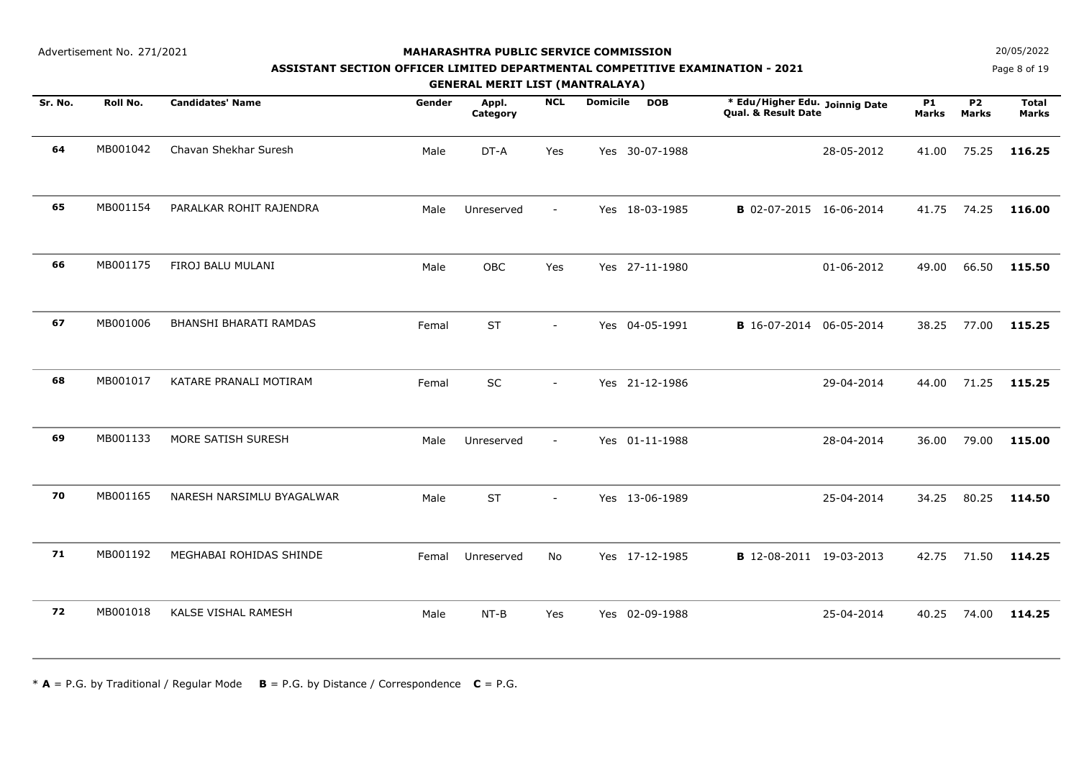#### **MAHARASHTRA PUBLIC SERVICE COMMISSION**

# **ASSISTANT SECTION OFFICER LIMITED DEPARTMENTAL COMPETITIVE EXAMINATION - 2021**

**GENERAL MERIT LIST (MANTRALAYA)**

**N**  $20/05/2022$ 

Page 8 of 19

| Sr. No. | Roll No. | <b>Candidates' Name</b>   | Gender | Appl.      | <b>NCL</b>               | <b>Domicile</b> | <b>DOB</b>     | * Edu/Higher Edu. Joinnig Date |            | <b>P1</b>    | <b>P2</b>    | <b>Total</b> |
|---------|----------|---------------------------|--------|------------|--------------------------|-----------------|----------------|--------------------------------|------------|--------------|--------------|--------------|
|         |          |                           |        | Category   |                          |                 |                | Qual. & Result Date            |            | <b>Marks</b> | <b>Marks</b> | <b>Marks</b> |
| 64      | MB001042 | Chavan Shekhar Suresh     | Male   | DT-A       | Yes                      |                 | Yes 30-07-1988 |                                | 28-05-2012 | 41.00        | 75.25        | 116.25       |
| 65      | MB001154 | PARALKAR ROHIT RAJENDRA   | Male   | Unreserved | $\sim$                   |                 | Yes 18-03-1985 | B 02-07-2015 16-06-2014        |            | 41.75        | 74.25        | 116.00       |
| 66      | MB001175 | FIROJ BALU MULANI         | Male   | OBC        | Yes                      |                 | Yes 27-11-1980 |                                | 01-06-2012 | 49.00        | 66.50        | 115.50       |
| 67      | MB001006 | BHANSHI BHARATI RAMDAS    | Femal  | <b>ST</b>  | $\sim$                   |                 | Yes 04-05-1991 | B 16-07-2014 06-05-2014        |            | 38.25        | 77.00        | 115.25       |
| 68      | MB001017 | KATARE PRANALI MOTIRAM    | Femal  | SC         | $\sim$                   |                 | Yes 21-12-1986 |                                | 29-04-2014 | 44.00        | 71.25        | 115.25       |
| 69      | MB001133 | MORE SATISH SURESH        | Male   | Unreserved | $\overline{\phantom{a}}$ |                 | Yes 01-11-1988 |                                | 28-04-2014 | 36.00        | 79.00        | 115.00       |
| 70      | MB001165 | NARESH NARSIMLU BYAGALWAR | Male   | <b>ST</b>  | $\sim$                   |                 | Yes 13-06-1989 |                                | 25-04-2014 | 34.25        | 80.25        | 114.50       |
| 71      | MB001192 | MEGHABAI ROHIDAS SHINDE   | Femal  | Unreserved | <b>No</b>                |                 | Yes 17-12-1985 | <b>B</b> 12-08-2011 19-03-2013 |            | 42.75        | 71.50        | 114.25       |
| 72      | MB001018 | KALSE VISHAL RAMESH       | Male   | $NT-B$     | Yes                      |                 | Yes 02-09-1988 |                                | 25-04-2014 | 40.25        | 74.00        | 114.25       |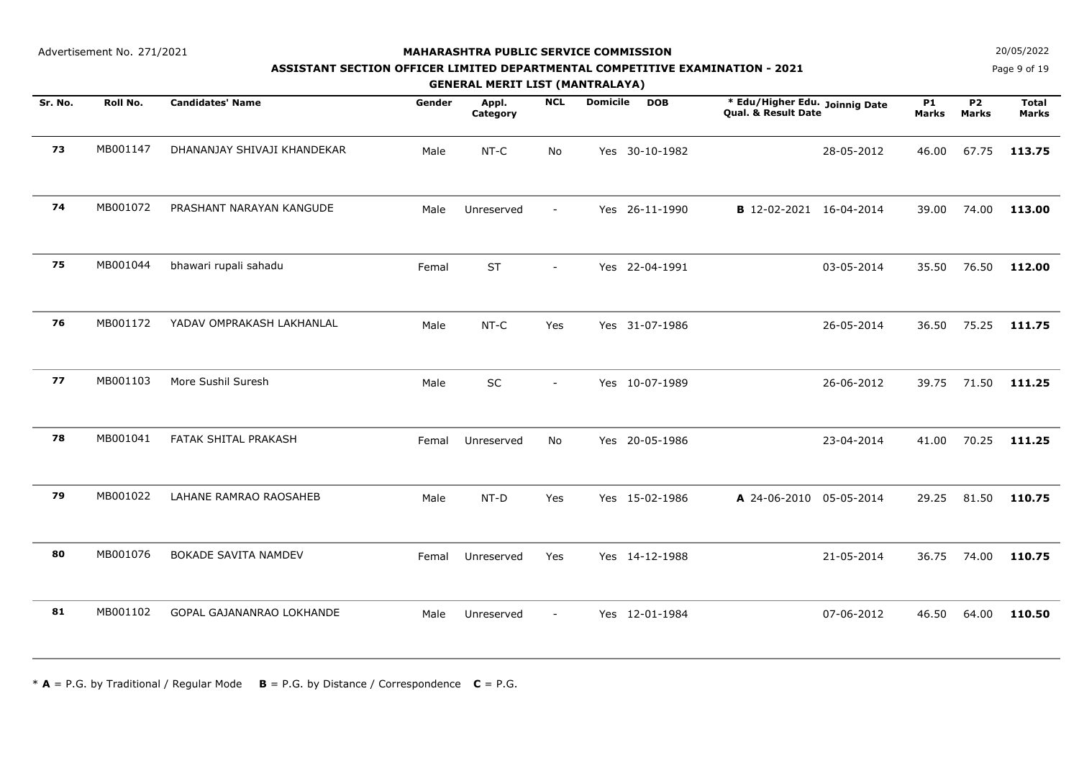#### **MAHARASHTRA PUBLIC SERVICE COMMISSION**

# **ASSISTANT SECTION OFFICER LIMITED DEPARTMENTAL COMPETITIVE EXAMINATION - 2021**

**GENERAL MERIT LIST (MANTRALAYA)**

Page 9 of 19**N**  $20/05/2022$ 

| Sr. No. | Roll No. | <b>Candidates' Name</b>     | Gender | Appl.<br>Category | <b>NCL</b>               | <b>Domicile</b> | <b>DOB</b>     | * Edu/Higher Edu. Joinnig Date<br><b>Qual. &amp; Result Date</b> | <b>P1</b><br><b>Marks</b> | P <sub>2</sub><br><b>Marks</b> | <b>Total</b><br>Marks |
|---------|----------|-----------------------------|--------|-------------------|--------------------------|-----------------|----------------|------------------------------------------------------------------|---------------------------|--------------------------------|-----------------------|
| 73      | MB001147 | DHANANJAY SHIVAJI KHANDEKAR | Male   | $NT-C$            | No                       |                 | Yes 30-10-1982 | 28-05-2012                                                       | 46.00                     | 67.75                          | 113.75                |
| 74      | MB001072 | PRASHANT NARAYAN KANGUDE    | Male   | Unreserved        | $\overline{\phantom{a}}$ |                 | Yes 26-11-1990 | B 12-02-2021 16-04-2014                                          | 39.00                     | 74.00                          | 113.00                |
| 75      | MB001044 | bhawari rupali sahadu       | Femal  | <b>ST</b>         | $\overline{\phantom{a}}$ |                 | Yes 22-04-1991 | 03-05-2014                                                       | 35.50                     | 76.50                          | 112.00                |
| 76      | MB001172 | YADAV OMPRAKASH LAKHANLAL   | Male   | NT-C              | Yes                      |                 | Yes 31-07-1986 | 26-05-2014                                                       | 36.50                     | 75.25                          | 111.75                |
| 77      | MB001103 | More Sushil Suresh          | Male   | SC                | $\blacksquare$           |                 | Yes 10-07-1989 | 26-06-2012                                                       | 39.75                     | 71.50                          | 111.25                |
| 78      | MB001041 | FATAK SHITAL PRAKASH        | Femal  | Unreserved        | No                       |                 | Yes 20-05-1986 | 23-04-2014                                                       | 41.00                     | 70.25                          | 111.25                |
| 79      | MB001022 | LAHANE RAMRAO RAOSAHEB      | Male   | NT-D              | Yes                      |                 | Yes 15-02-1986 | A 24-06-2010 05-05-2014                                          | 29.25                     | 81.50                          | 110.75                |
| 80      | MB001076 | BOKADE SAVITA NAMDEV        | Femal  | Unreserved        | Yes                      |                 | Yes 14-12-1988 | 21-05-2014                                                       | 36.75                     | 74.00                          | 110.75                |
| 81      | MB001102 | GOPAL GAJANANRAO LOKHANDE   | Male   | Unreserved        | $\overline{\phantom{a}}$ |                 | Yes 12-01-1984 | 07-06-2012                                                       | 46.50                     | 64.00                          | 110.50                |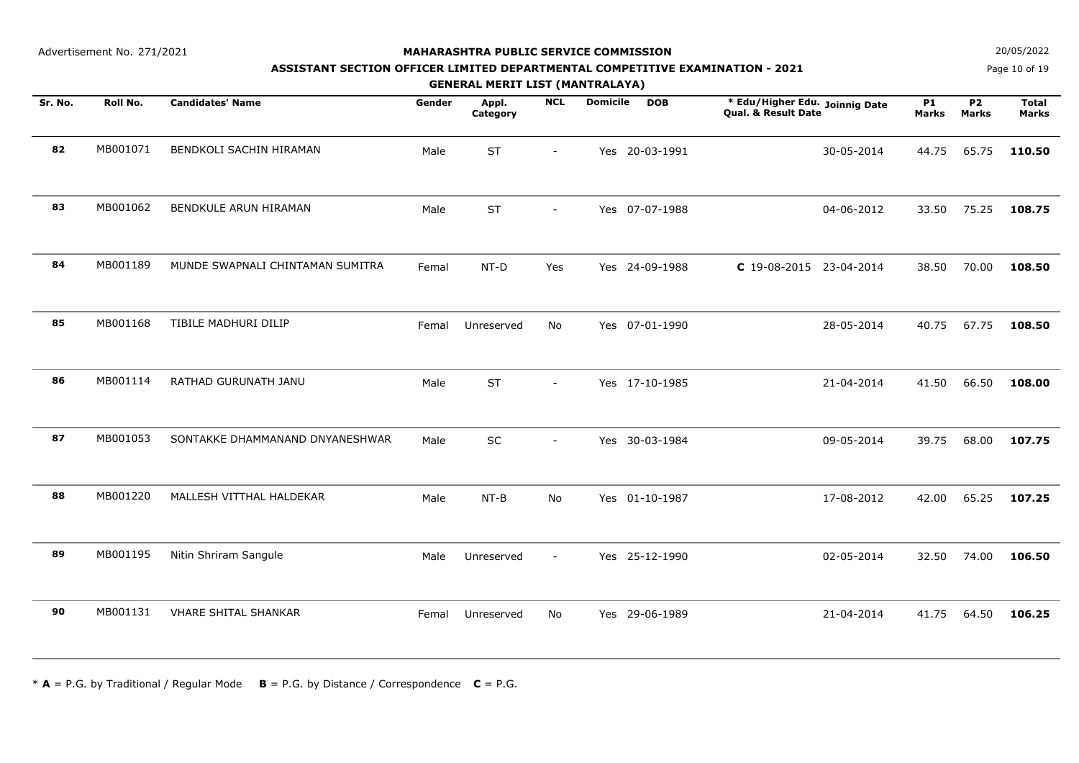#### **MAHARASHTRA PUBLIC SERVICE COMMISSION**

**ASSISTANT SECTION OFFICER LIMITED DEPARTMENTAL COMPETITIVE EXAMINATION - 2021**

**GENERAL MERIT LIST (MANTRALAYA)**

**N**  $20/05/2022$ 

Page 10 of 19

|         |          |                                  |        | GENEKAL MEKLI LISI (MANIKALATA) |                          |                 |                |                                                                  |                    |                           |                              |
|---------|----------|----------------------------------|--------|---------------------------------|--------------------------|-----------------|----------------|------------------------------------------------------------------|--------------------|---------------------------|------------------------------|
| Sr. No. | Roll No. | <b>Candidates' Name</b>          | Gender | Appl.<br>Category               | <b>NCL</b>               | <b>Domicile</b> | <b>DOB</b>     | * Edu/Higher Edu. Joinnig Date<br><b>Qual. &amp; Result Date</b> | <b>P1</b><br>Marks | <b>P2</b><br><b>Marks</b> | <b>Total</b><br><b>Marks</b> |
| 82      | MB001071 | BENDKOLI SACHIN HIRAMAN          | Male   | <b>ST</b>                       |                          |                 | Yes 20-03-1991 | 30-05-2014                                                       | 44.75              | 65.75                     | 110.50                       |
| 83      | MB001062 | BENDKULE ARUN HIRAMAN            | Male   | <b>ST</b>                       | $\sim$                   |                 | Yes 07-07-1988 | 04-06-2012                                                       | 33.50              | 75.25                     | 108.75                       |
| 84      | MB001189 | MUNDE SWAPNALI CHINTAMAN SUMITRA | Femal  | NT-D                            | Yes                      |                 | Yes 24-09-1988 | C 19-08-2015 23-04-2014                                          | 38.50              | 70.00                     | 108.50                       |
| 85      | MB001168 | TIBILE MADHURI DILIP             | Femal  | Unreserved                      | <b>No</b>                |                 | Yes 07-01-1990 | 28-05-2014                                                       | 40.75              | 67.75                     | 108.50                       |
| 86      | MB001114 | RATHAD GURUNATH JANU             | Male   | <b>ST</b>                       |                          |                 | Yes 17-10-1985 | 21-04-2014                                                       | 41.50              | 66.50                     | 108.00                       |
| 87      | MB001053 | SONTAKKE DHAMMANAND DNYANESHWAR  | Male   | $\sf SC$                        | $\sim$                   |                 | Yes 30-03-1984 | 09-05-2014                                                       | 39.75              | 68.00                     | 107.75                       |
| 88      | MB001220 | MALLESH VITTHAL HALDEKAR         | Male   | $NT-B$                          | No                       |                 | Yes 01-10-1987 | 17-08-2012                                                       | 42.00              | 65.25                     | 107.25                       |
| 89      | MB001195 | Nitin Shriram Sangule            | Male   | Unreserved                      | $\overline{\phantom{a}}$ |                 | Yes 25-12-1990 | 02-05-2014                                                       | 32.50              | 74.00                     | 106.50                       |
| 90      | MB001131 | <b>VHARE SHITAL SHANKAR</b>      | Femal  | Unreserved                      | No                       |                 | Yes 29-06-1989 | 21-04-2014                                                       | 41.75              | 64.50                     | 106.25                       |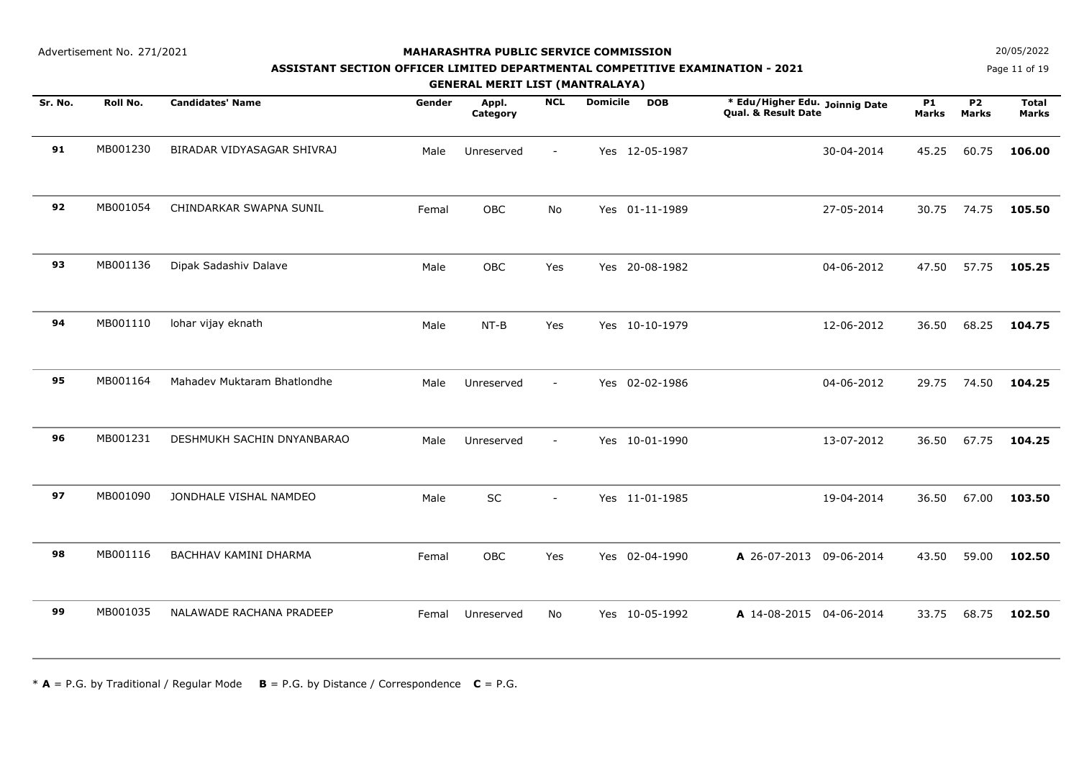#### **MAHARASHTRA PUBLIC SERVICE COMMISSION**

**ASSISTANT SECTION OFFICER LIMITED DEPARTMENTAL COMPETITIVE EXAMINATION - 2021**

**GENERAL MERIT LIST (MANTRALAYA)**

**N**  $20/05/2022$ 

Page 11 of 19

| Sr. No. | Roll No. | <b>Candidates' Name</b>     | Gender | Appl.<br>Category | $\overline{NCL}$         | <b>Domicile</b> | <b>DOB</b>     | * Edu/Higher Edu. Joinnig Date<br>Qual. & Result Date | <b>P1</b><br>Marks | <b>P2</b><br><b>Marks</b> | <b>Total</b><br><b>Marks</b> |
|---------|----------|-----------------------------|--------|-------------------|--------------------------|-----------------|----------------|-------------------------------------------------------|--------------------|---------------------------|------------------------------|
| 91      | MB001230 | BIRADAR VIDYASAGAR SHIVRAJ  | Male   | Unreserved        |                          |                 | Yes 12-05-1987 | 30-04-2014                                            | 45.25              | 60.75                     | 106.00                       |
| 92      | MB001054 | CHINDARKAR SWAPNA SUNIL     | Femal  | OBC               | No                       |                 | Yes 01-11-1989 | 27-05-2014                                            | 30.75              | 74.75                     | 105.50                       |
| 93      | MB001136 | Dipak Sadashiv Dalave       | Male   | OBC               | Yes                      |                 | Yes 20-08-1982 | 04-06-2012                                            | 47.50              | 57.75                     | 105.25                       |
| 94      | MB001110 | lohar vijay eknath          | Male   | $NT-B$            | Yes                      |                 | Yes 10-10-1979 | 12-06-2012                                            | 36.50              | 68.25                     | 104.75                       |
| 95      | MB001164 | Mahadev Muktaram Bhatlondhe | Male   | Unreserved        | $\overline{\phantom{a}}$ |                 | Yes 02-02-1986 | 04-06-2012                                            | 29.75              | 74.50                     | 104.25                       |
| 96      | MB001231 | DESHMUKH SACHIN DNYANBARAO  | Male   | Unreserved        | $\sim$                   |                 | Yes 10-01-1990 | 13-07-2012                                            | 36.50              | 67.75                     | 104.25                       |
| 97      | MB001090 | JONDHALE VISHAL NAMDEO      | Male   | <b>SC</b>         | $\sim$                   |                 | Yes 11-01-1985 | 19-04-2014                                            | 36.50              | 67.00                     | 103.50                       |
| 98      | MB001116 | BACHHAV KAMINI DHARMA       | Femal  | OBC               | Yes                      |                 | Yes 02-04-1990 | A 26-07-2013<br>09-06-2014                            | 43.50              | 59.00                     | 102.50                       |
| 99      | MB001035 | NALAWADE RACHANA PRADEEP    | Femal  | Unreserved        | No                       |                 | Yes 10-05-1992 | A 14-08-2015 04-06-2014                               | 33.75              | 68.75                     | 102.50                       |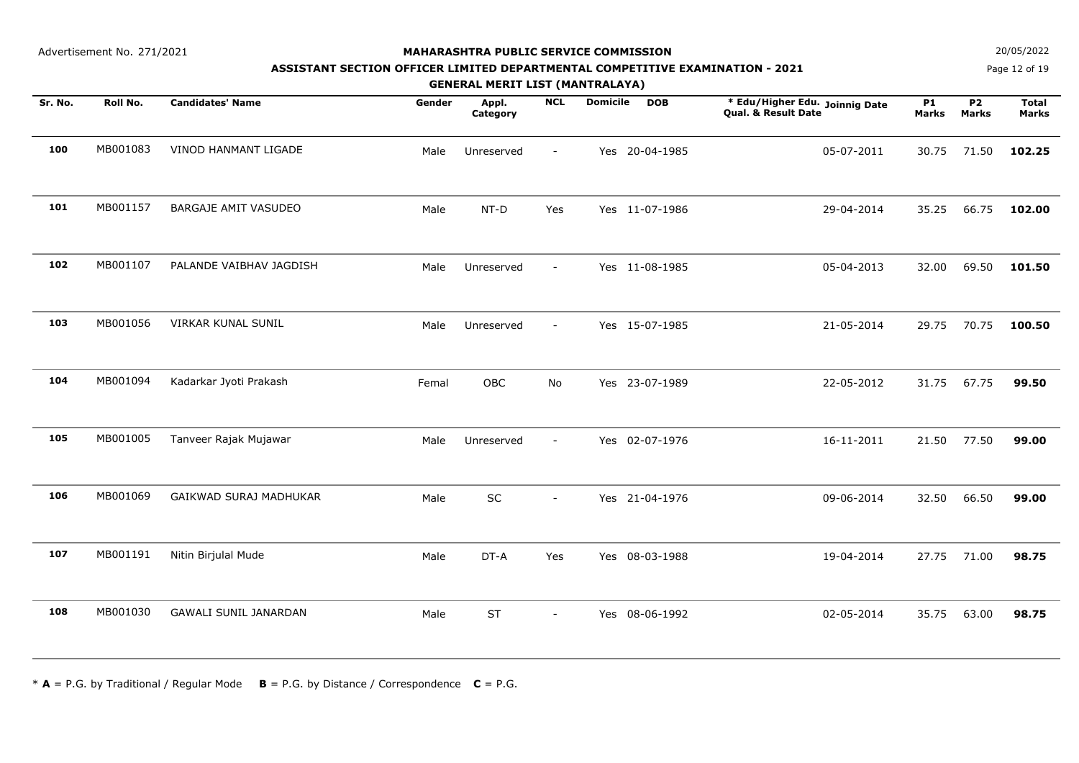#### **MAHARASHTRA PUBLIC SERVICE COMMISSION**

# **ASSISTANT SECTION OFFICER LIMITED DEPARTMENTAL COMPETITIVE EXAMINATION - 2021**

**GENERAL MERIT LIST (MANTRALAYA)**

**N**  $20/05/2022$ 

Page 12 of 19

| . .<br>TERAL PERTI LIST (PRITIRALATA) |          |                             |        |                   |                |                 |                |                                                       |                    |                           |                              |
|---------------------------------------|----------|-----------------------------|--------|-------------------|----------------|-----------------|----------------|-------------------------------------------------------|--------------------|---------------------------|------------------------------|
| Sr. No.                               | Roll No. | <b>Candidates' Name</b>     | Gender | Appl.<br>Category | <b>NCL</b>     | <b>Domicile</b> | <b>DOB</b>     | * Edu/Higher Edu. Joinnig Date<br>Qual. & Result Date | <b>P1</b><br>Marks | <b>P2</b><br><b>Marks</b> | <b>Total</b><br><b>Marks</b> |
| 100                                   | MB001083 | VINOD HANMANT LIGADE        | Male   | Unreserved        | $\sim$         |                 | Yes 20-04-1985 | 05-07-2011                                            | 30.75              | 71.50                     | 102.25                       |
| 101                                   | MB001157 | <b>BARGAJE AMIT VASUDEO</b> | Male   | NT-D              | Yes            |                 | Yes 11-07-1986 | 29-04-2014                                            | 35.25              | 66.75                     | 102.00                       |
| 102                                   | MB001107 | PALANDE VAIBHAV JAGDISH     | Male   | Unreserved        | $\sim$         |                 | Yes 11-08-1985 | 05-04-2013                                            | 32.00              | 69.50                     | 101.50                       |
| 103                                   | MB001056 | <b>VIRKAR KUNAL SUNIL</b>   | Male   | Unreserved        | $\sim$         |                 | Yes 15-07-1985 | 21-05-2014                                            | 29.75              | 70.75                     | 100.50                       |
| 104                                   | MB001094 | Kadarkar Jyoti Prakash      | Femal  | <b>OBC</b>        | No             |                 | Yes 23-07-1989 | 22-05-2012                                            | 31.75              | 67.75                     | 99.50                        |
| 105                                   | MB001005 | Tanveer Rajak Mujawar       | Male   | Unreserved        | $\blacksquare$ |                 | Yes 02-07-1976 | 16-11-2011                                            | 21.50              | 77.50                     | 99.00                        |
| 106                                   | MB001069 | GAIKWAD SURAJ MADHUKAR      | Male   | SC                | $\sim$         |                 | Yes 21-04-1976 | 09-06-2014                                            | 32.50              | 66.50                     | 99.00                        |
| 107                                   | MB001191 | Nitin Birjulal Mude         | Male   | DT-A              | Yes            |                 | Yes 08-03-1988 | 19-04-2014                                            | 27.75              | 71.00                     | 98.75                        |
| 108                                   | MB001030 | GAWALI SUNIL JANARDAN       | Male   | <b>ST</b>         | $\sim$         |                 | Yes 08-06-1992 | 02-05-2014                                            | 35.75              | 63.00                     | 98.75                        |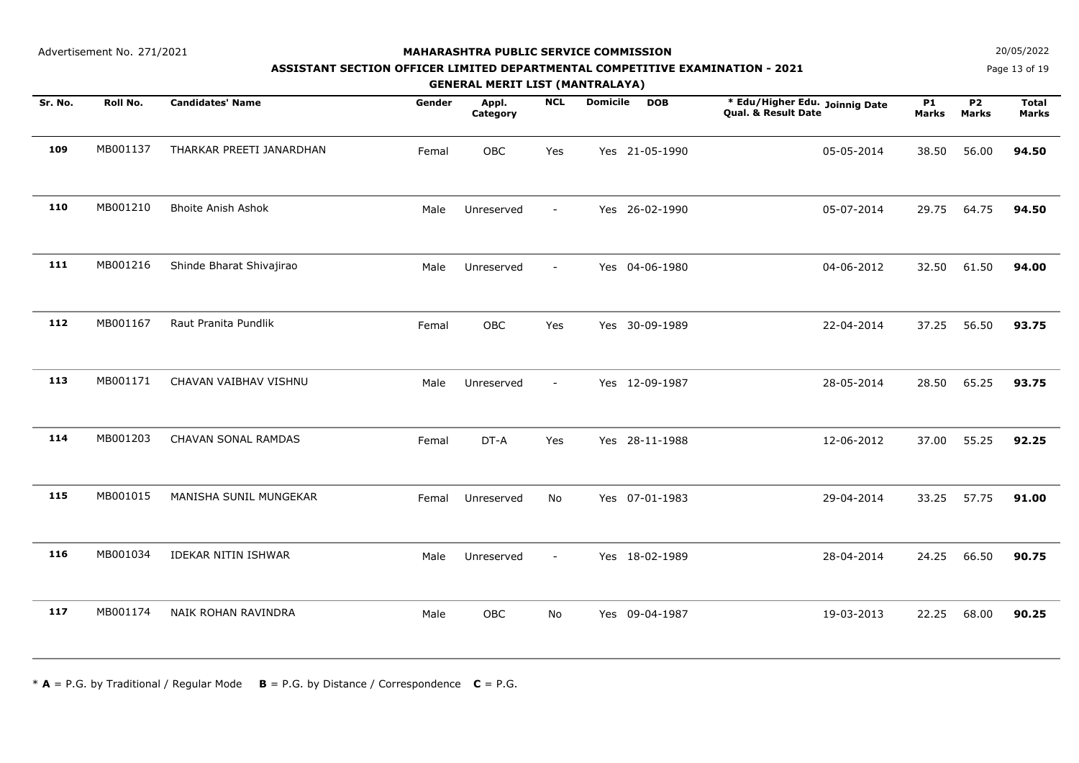#### **MAHARASHTRA PUBLIC SERVICE COMMISSION**

# **ASSISTANT SECTION OFFICER LIMITED DEPARTMENTAL COMPETITIVE EXAMINATION - 2021**

**GENERAL MERIT LIST (MANTRALAYA)**

Page 13 of 19**N**  $20/05/2022$ 

| Sr. No. | Roll No. | <b>Candidates' Name</b>    | Gender | Appl.<br>Category | <b>NCL</b>     | <b>Domicile</b> | * Edu/Higher Edu. Joinnig Date<br><b>DOB</b><br>Qual. & Result Date |            | <b>P1</b><br><b>Marks</b> | <b>P2</b><br><b>Marks</b> | <b>Total</b><br><b>Marks</b> |
|---------|----------|----------------------------|--------|-------------------|----------------|-----------------|---------------------------------------------------------------------|------------|---------------------------|---------------------------|------------------------------|
| 109     | MB001137 | THARKAR PREETI JANARDHAN   | Femal  | OBC               | Yes            |                 | Yes 21-05-1990                                                      | 05-05-2014 | 38.50                     | 56.00                     | 94.50                        |
| 110     | MB001210 | <b>Bhoite Anish Ashok</b>  | Male   | Unreserved        | $\sim$         |                 | Yes 26-02-1990                                                      | 05-07-2014 | 29.75                     | 64.75                     | 94.50                        |
| 111     | MB001216 | Shinde Bharat Shivajirao   | Male   | Unreserved        | $\sim$         |                 | Yes 04-06-1980                                                      | 04-06-2012 | 32.50                     | 61.50                     | 94.00                        |
| 112     | MB001167 | Raut Pranita Pundlik       | Femal  | OBC               | Yes            |                 | Yes 30-09-1989                                                      | 22-04-2014 | 37.25                     | 56.50                     | 93.75                        |
| 113     | MB001171 | CHAVAN VAIBHAV VISHNU      | Male   | Unreserved        | $\blacksquare$ |                 | Yes 12-09-1987                                                      | 28-05-2014 | 28.50                     | 65.25                     | 93.75                        |
| 114     | MB001203 | CHAVAN SONAL RAMDAS        | Femal  | DT-A              | Yes            |                 | Yes 28-11-1988                                                      | 12-06-2012 | 37.00                     | 55.25                     | 92.25                        |
| 115     | MB001015 | MANISHA SUNIL MUNGEKAR     | Femal  | Unreserved        | <b>No</b>      |                 | Yes 07-01-1983                                                      | 29-04-2014 | 33.25                     | 57.75                     | 91.00                        |
| 116     | MB001034 | <b>IDEKAR NITIN ISHWAR</b> | Male   | Unreserved        | $\sim$         |                 | Yes 18-02-1989                                                      | 28-04-2014 | 24.25                     | 66.50                     | 90.75                        |
| 117     | MB001174 | NAIK ROHAN RAVINDRA        | Male   | OBC               | No             |                 | Yes 09-04-1987                                                      | 19-03-2013 | 22.25                     | 68.00                     | 90.25                        |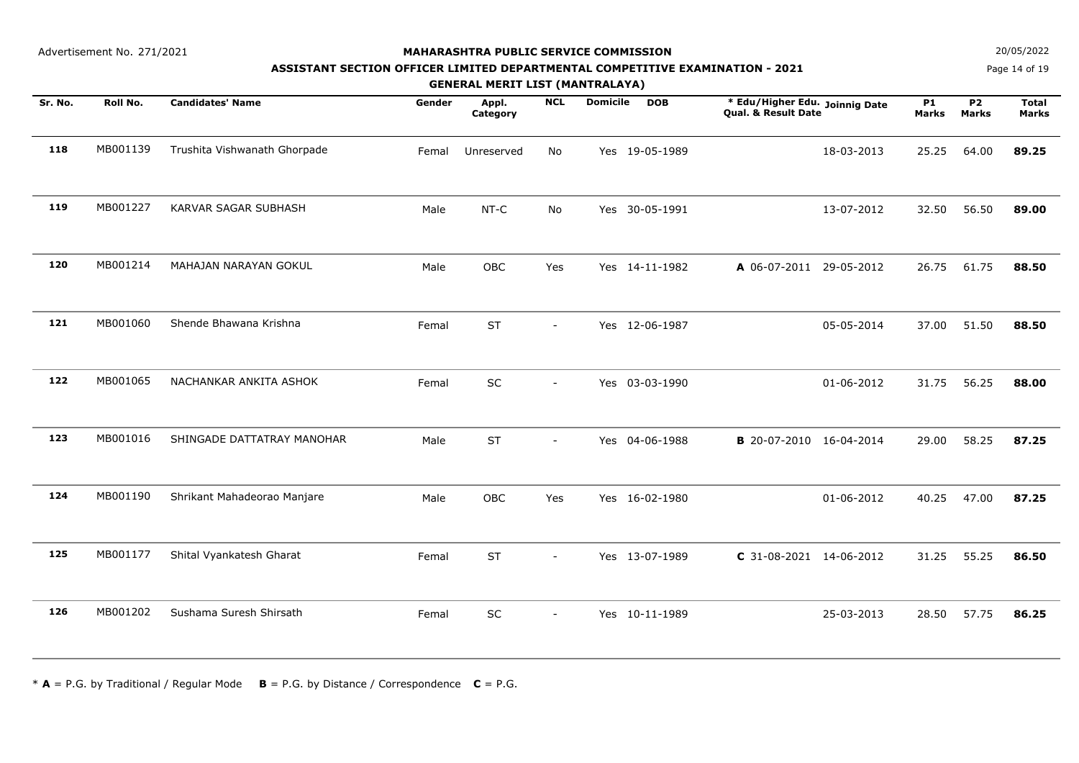### **ASSISTANT SECTION OFFICER LIMITED DEPARTMENTAL COMPETITIVE EXAMINATION - 2021**

**GENERAL MERIT LIST (MANTRALAYA)**

**N**  $20/05/2022$ 

Page 14 of 19

| GENENAE MENIT EIST (MANTNAEATA) |          |                              |        |                   |                          |                 |                |                                                       |            |                    |                                |                       |
|---------------------------------|----------|------------------------------|--------|-------------------|--------------------------|-----------------|----------------|-------------------------------------------------------|------------|--------------------|--------------------------------|-----------------------|
| Sr. No.                         | Roll No. | <b>Candidates' Name</b>      | Gender | Appl.<br>Category | <b>NCL</b>               | <b>Domicile</b> | <b>DOB</b>     | * Edu/Higher Edu. Joinnig Date<br>Qual. & Result Date |            | <b>P1</b><br>Marks | P <sub>2</sub><br><b>Marks</b> | Total<br><b>Marks</b> |
| 118                             | MB001139 | Trushita Vishwanath Ghorpade | Femal  | Unreserved        | No                       |                 | Yes 19-05-1989 |                                                       | 18-03-2013 | 25.25              | 64.00                          | 89.25                 |
| 119                             | MB001227 | KARVAR SAGAR SUBHASH         | Male   | NT-C              | No                       |                 | Yes 30-05-1991 |                                                       | 13-07-2012 | 32.50              | 56.50                          | 89.00                 |
| 120                             | MB001214 | MAHAJAN NARAYAN GOKUL        | Male   | OBC               | Yes                      |                 | Yes 14-11-1982 | A 06-07-2011 29-05-2012                               |            | 26.75              | 61.75                          | 88.50                 |
| 121                             | MB001060 | Shende Bhawana Krishna       | Femal  | <b>ST</b>         | $\sim$                   |                 | Yes 12-06-1987 |                                                       | 05-05-2014 | 37.00              | 51.50                          | 88.50                 |
| 122                             | MB001065 | NACHANKAR ANKITA ASHOK       | Femal  | <b>SC</b>         | $\blacksquare$           |                 | Yes 03-03-1990 |                                                       | 01-06-2012 | 31.75              | 56.25                          | 88.00                 |
| 123                             | MB001016 | SHINGADE DATTATRAY MANOHAR   | Male   | <b>ST</b>         | $\sim$                   |                 | Yes 04-06-1988 | B 20-07-2010 16-04-2014                               |            | 29.00              | 58.25                          | 87.25                 |
| 124                             | MB001190 | Shrikant Mahadeorao Manjare  | Male   | OBC               | Yes                      |                 | Yes 16-02-1980 |                                                       | 01-06-2012 | 40.25              | 47.00                          | 87.25                 |
| 125                             | MB001177 | Shital Vyankatesh Gharat     | Femal  | <b>ST</b>         | $\overline{\phantom{a}}$ |                 | Yes 13-07-1989 | C 31-08-2021 14-06-2012                               |            | 31.25              | 55.25                          | 86.50                 |
| 126                             | MB001202 | Sushama Suresh Shirsath      | Femal  | <b>SC</b>         | $\sim$                   |                 | Yes 10-11-1989 |                                                       | 25-03-2013 | 28.50              | 57.75                          | 86.25                 |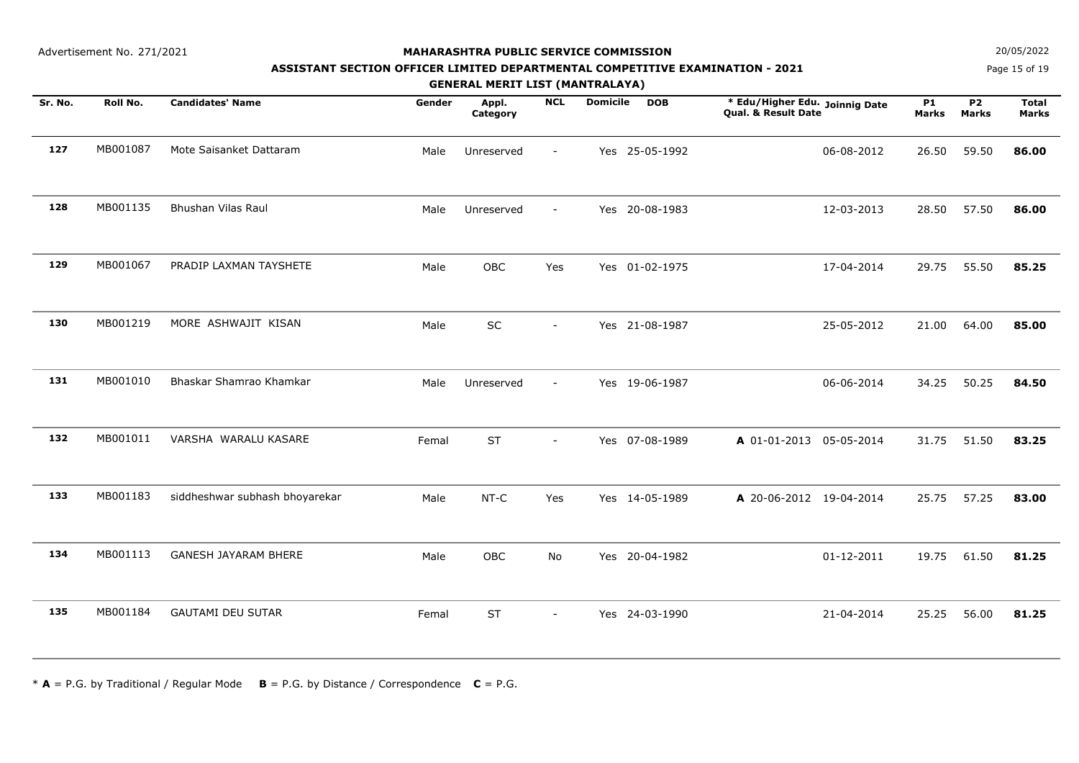### **ASSISTANT SECTION OFFICER LIMITED DEPARTMENTAL COMPETITIVE EXAMINATION - 2021**

**GENERAL MERIT LIST (MANTRALAYA)**

**N**  $20/05/2022$ 

Page 15 of 19

| GENERAL MERIT LIST (MANTRALATA) |          |                                |        |                   |                          |                 |                |                                                       |            |                    |                    |                              |
|---------------------------------|----------|--------------------------------|--------|-------------------|--------------------------|-----------------|----------------|-------------------------------------------------------|------------|--------------------|--------------------|------------------------------|
| Sr. No.                         | Roll No. | <b>Candidates' Name</b>        | Gender | Appl.<br>Category | <b>NCL</b>               | <b>Domicile</b> | <b>DOB</b>     | * Edu/Higher Edu. Joinnig Date<br>Qual. & Result Date |            | <b>P1</b><br>Marks | <b>P2</b><br>Marks | <b>Total</b><br><b>Marks</b> |
| 127                             | MB001087 | Mote Saisanket Dattaram        | Male   | Unreserved        | $\overline{\phantom{a}}$ | Yes             | 25-05-1992     |                                                       | 06-08-2012 | 26.50              | 59.50              | 86.00                        |
| 128                             | MB001135 | Bhushan Vilas Raul             | Male   | Unreserved        | $\overline{\phantom{a}}$ |                 | Yes 20-08-1983 |                                                       | 12-03-2013 | 28.50              | 57.50              | 86.00                        |
| 129                             | MB001067 | PRADIP LAXMAN TAYSHETE         | Male   | OBC               | Yes                      |                 | Yes 01-02-1975 |                                                       | 17-04-2014 | 29.75              | 55.50              | 85.25                        |
| 130                             | MB001219 | MORE ASHWAJIT KISAN            | Male   | SC                | $\sim$                   |                 | Yes 21-08-1987 |                                                       | 25-05-2012 | 21.00              | 64.00              | 85.00                        |
| 131                             | MB001010 | Bhaskar Shamrao Khamkar        | Male   | Unreserved        | $\blacksquare$           |                 | Yes 19-06-1987 |                                                       | 06-06-2014 | 34.25              | 50.25              | 84.50                        |
| 132                             | MB001011 | VARSHA WARALU KASARE           | Femal  | <b>ST</b>         | $\sim$                   |                 | Yes 07-08-1989 | A 01-01-2013 05-05-2014                               |            | 31.75              | 51.50              | 83.25                        |
| 133                             | MB001183 | siddheshwar subhash bhoyarekar | Male   | NT-C              | Yes                      |                 | Yes 14-05-1989 | A 20-06-2012 19-04-2014                               |            | 25.75              | 57.25              | 83.00                        |
| 134                             | MB001113 | <b>GANESH JAYARAM BHERE</b>    | Male   | OBC               | No                       |                 | Yes 20-04-1982 |                                                       | 01-12-2011 | 19.75              | 61.50              | 81.25                        |
| 135                             | MB001184 | <b>GAUTAMI DEU SUTAR</b>       | Femal  | <b>ST</b>         | $\sim$                   |                 | Yes 24-03-1990 |                                                       | 21-04-2014 | 25.25              | 56.00              | 81.25                        |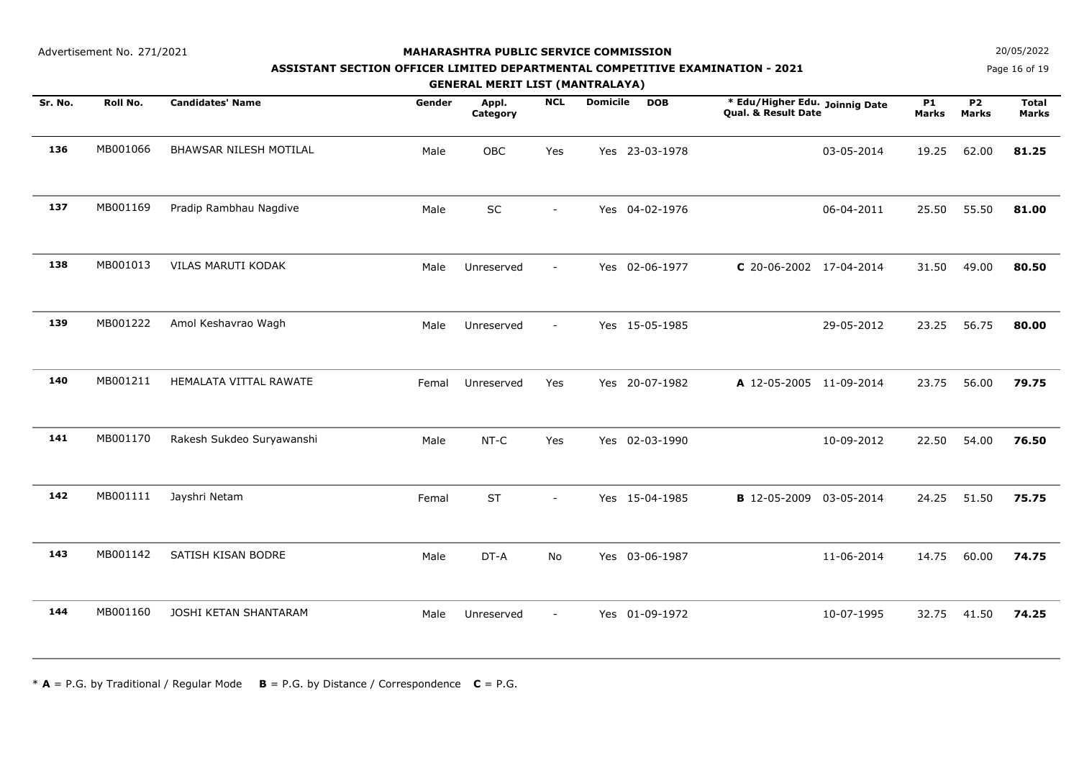#### **MAHARASHTRA PUBLIC SERVICE COMMISSION**

**ASSISTANT SECTION OFFICER LIMITED DEPARTMENTAL COMPETITIVE EXAMINATION - 2021**

**GENERAL MERIT LIST (MANTRALAYA)**

**N**  $20/05/2022$ 

Page 16 of 19

| Sr. No. | Roll No. | <b>Candidates' Name</b>   | Gender | Appl.<br>Category | <b>NCL</b> | <b>Domicile</b> | <b>DOB</b>     | * Edu/Higher Edu. Joinnig Date<br>Qual. & Result Date |            | <b>P1</b><br><b>Marks</b> | <b>P2</b><br><b>Marks</b> | <b>Total</b><br><b>Marks</b> |
|---------|----------|---------------------------|--------|-------------------|------------|-----------------|----------------|-------------------------------------------------------|------------|---------------------------|---------------------------|------------------------------|
|         |          |                           |        |                   |            |                 |                |                                                       |            |                           |                           |                              |
| 136     | MB001066 | BHAWSAR NILESH MOTILAL    | Male   | OBC               | Yes        |                 | Yes 23-03-1978 |                                                       | 03-05-2014 | 19.25                     | 62.00                     | 81.25                        |
|         |          |                           |        |                   |            |                 |                |                                                       |            |                           |                           |                              |
| 137     | MB001169 | Pradip Rambhau Nagdive    | Male   | SC                | $\sim$     |                 | Yes 04-02-1976 |                                                       | 06-04-2011 | 25.50                     | 55.50                     | 81.00                        |
|         |          |                           |        |                   |            |                 |                |                                                       |            |                           |                           |                              |
| 138     | MB001013 | VILAS MARUTI KODAK        | Male   | Unreserved        | $\sim$     |                 | Yes 02-06-1977 | C 20-06-2002 17-04-2014                               |            | 31.50                     | 49.00                     | 80.50                        |
|         |          |                           |        |                   |            |                 |                |                                                       |            |                           |                           |                              |
| 139     | MB001222 | Amol Keshavrao Wagh       | Male   | Unreserved        | $\sim$     |                 | Yes 15-05-1985 |                                                       | 29-05-2012 | 23.25                     | 56.75                     | 80.00                        |
|         |          |                           |        |                   |            |                 |                |                                                       |            |                           |                           |                              |
| 140     | MB001211 | HEMALATA VITTAL RAWATE    | Femal  | Unreserved        | Yes        |                 | Yes 20-07-1982 | A 12-05-2005 11-09-2014                               |            | 23.75                     | 56.00                     | 79.75                        |
|         |          |                           |        |                   |            |                 |                |                                                       |            |                           |                           |                              |
| 141     | MB001170 | Rakesh Sukdeo Suryawanshi | Male   | NT-C              | Yes        |                 | Yes 02-03-1990 |                                                       | 10-09-2012 | 22.50                     | 54.00                     | 76.50                        |
|         |          |                           |        |                   |            |                 |                |                                                       |            |                           |                           |                              |
| 142     | MB001111 | Jayshri Netam             | Femal  | <b>ST</b>         | $\sim$     |                 | Yes 15-04-1985 | <b>B</b> 12-05-2009                                   | 03-05-2014 | 24.25                     | 51.50                     | 75.75                        |
|         |          |                           |        |                   |            |                 |                |                                                       |            |                           |                           |                              |
| 143     | MB001142 | SATISH KISAN BODRE        | Male   | DT-A              | No         |                 | Yes 03-06-1987 |                                                       | 11-06-2014 | 14.75                     | 60.00                     | 74.75                        |
|         |          |                           |        |                   |            |                 |                |                                                       |            |                           |                           |                              |
| 144     | MB001160 | JOSHI KETAN SHANTARAM     | Male   | Unreserved        | $\sim$     |                 | Yes 01-09-1972 |                                                       | 10-07-1995 | 32.75                     | 41.50                     | 74.25                        |
|         |          |                           |        |                   |            |                 |                |                                                       |            |                           |                           |                              |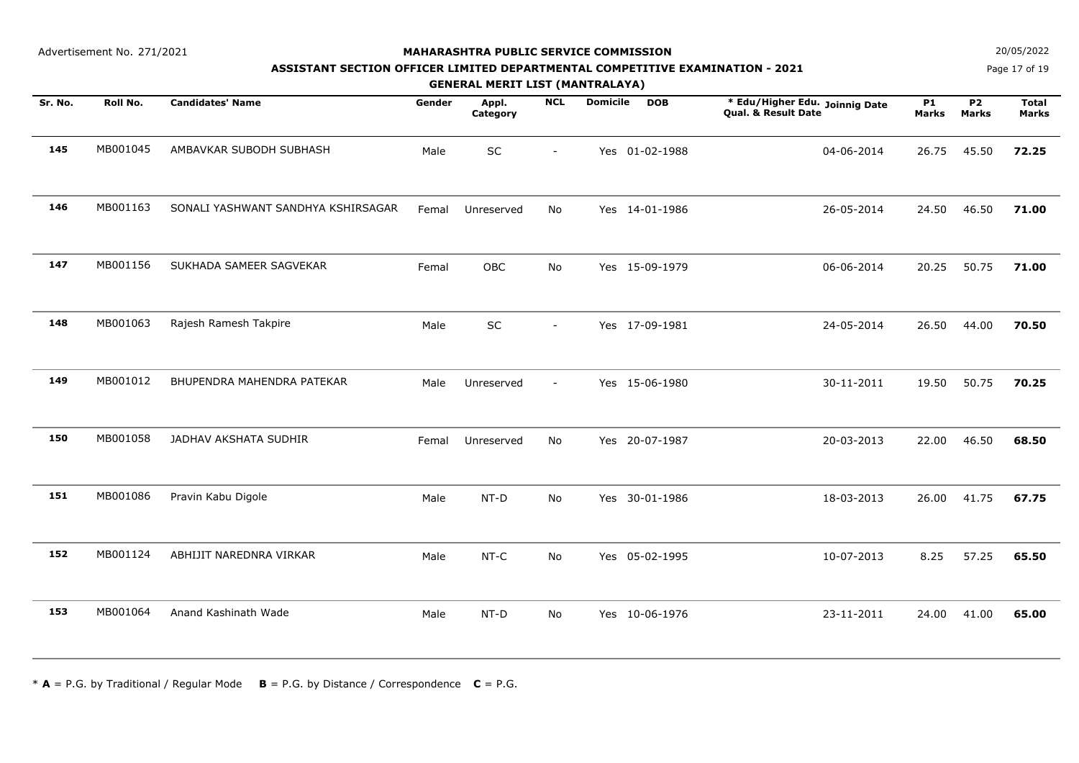#### **MAHARASHTRA PUBLIC SERVICE COMMISSION**

### **ASSISTANT SECTION OFFICER LIMITED DEPARTMENTAL COMPETITIVE EXAMINATION - 2021**

**GENERAL MERIT LIST (MANTRALAYA)**

**N**  $20/05/2022$ 

Page 17 of 19

|         |          |                                    | . .    |                   | שיון וכבם ובר |                 |                |                                                       |                           |                                |                              |
|---------|----------|------------------------------------|--------|-------------------|---------------|-----------------|----------------|-------------------------------------------------------|---------------------------|--------------------------------|------------------------------|
| Sr. No. | Roll No. | <b>Candidates' Name</b>            | Gender | Appl.<br>Category | <b>NCL</b>    | <b>Domicile</b> | <b>DOB</b>     | * Edu/Higher Edu. Joinnig Date<br>Qual. & Result Date | <b>P1</b><br><b>Marks</b> | P <sub>2</sub><br><b>Marks</b> | <b>Total</b><br><b>Marks</b> |
| 145     | MB001045 | AMBAVKAR SUBODH SUBHASH            | Male   | SC                | $\sim$        |                 | Yes 01-02-1988 | 04-06-2014                                            | 26.75                     | 45.50                          | 72.25                        |
| 146     | MB001163 | SONALI YASHWANT SANDHYA KSHIRSAGAR | Femal  | Unreserved        | No            |                 | Yes 14-01-1986 | 26-05-2014                                            | 24.50                     | 46.50                          | 71.00                        |
| 147     | MB001156 | SUKHADA SAMEER SAGVEKAR            | Femal  | OBC               | No            |                 | Yes 15-09-1979 | 06-06-2014                                            | 20.25                     | 50.75                          | 71.00                        |
| 148     | MB001063 | Rajesh Ramesh Takpire              | Male   | SC                | $\sim$        |                 | Yes 17-09-1981 | 24-05-2014                                            | 26.50                     | 44.00                          | 70.50                        |
| 149     | MB001012 | BHUPENDRA MAHENDRA PATEKAR         | Male   | Unreserved        | $\sim$        |                 | Yes 15-06-1980 | 30-11-2011                                            | 19.50                     | 50.75                          | 70.25                        |
| 150     | MB001058 | JADHAV AKSHATA SUDHIR              | Femal  | Unreserved        | No            |                 | Yes 20-07-1987 | 20-03-2013                                            | 22.00                     | 46.50                          | 68.50                        |
| 151     | MB001086 | Pravin Kabu Digole                 | Male   | NT-D              | No            |                 | Yes 30-01-1986 | 18-03-2013                                            | 26.00                     | 41.75                          | 67.75                        |
| 152     | MB001124 | ABHIJIT NAREDNRA VIRKAR            | Male   | NT-C              | No            |                 | Yes 05-02-1995 | 10-07-2013                                            | 8.25                      | 57.25                          | 65.50                        |
| 153     | MB001064 | Anand Kashinath Wade               | Male   | NT-D              | No            |                 | Yes 10-06-1976 | 23-11-2011                                            | 24.00                     | 41.00                          | 65.00                        |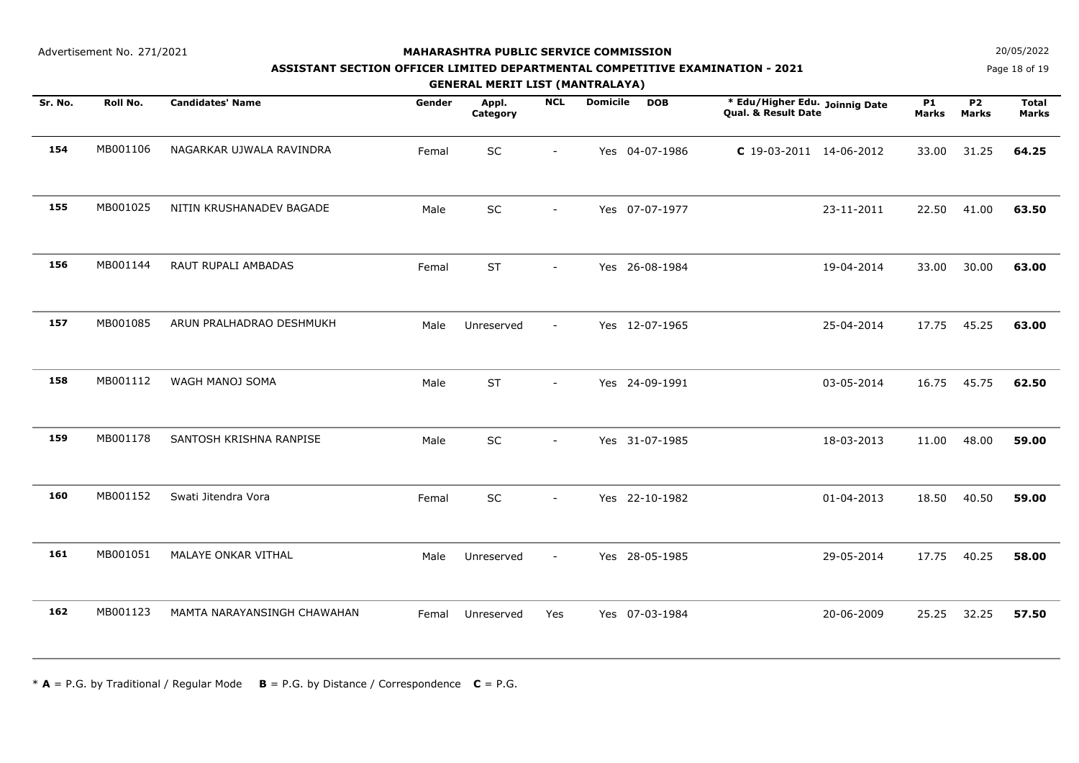#### **MAHARASHTRA PUBLIC SERVICE COMMISSION**

**ASSISTANT SECTION OFFICER LIMITED DEPARTMENTAL COMPETITIVE EXAMINATION - 2021**

**GENERAL MERIT LIST (MANTRALAYA)**

**N**  $20/05/2022$ 

Page 18 of 19

|         | SENERAE MERIT EIST (MANTRAEATA) |                             |        |                   |            |                               |                                                       |                    |                           |                              |  |  |
|---------|---------------------------------|-----------------------------|--------|-------------------|------------|-------------------------------|-------------------------------------------------------|--------------------|---------------------------|------------------------------|--|--|
| Sr. No. | Roll No.                        | <b>Candidates' Name</b>     | Gender | Appl.<br>Category | <b>NCL</b> | <b>Domicile</b><br><b>DOB</b> | * Edu/Higher Edu. Joinnig Date<br>Qual. & Result Date | <b>P1</b><br>Marks | <b>P2</b><br><b>Marks</b> | <b>Total</b><br><b>Marks</b> |  |  |
| 154     | MB001106                        | NAGARKAR UJWALA RAVINDRA    | Femal  | SC                | $\sim$     | Yes 04-07-1986                | $C$ 19-03-2011 14-06-2012                             | 33.00              | 31.25                     | 64.25                        |  |  |
| 155     | MB001025                        | NITIN KRUSHANADEV BAGADE    | Male   | SC                | $\sim$     | Yes 07-07-1977                | 23-11-2011                                            | 22.50              | 41.00                     | 63.50                        |  |  |
| 156     | MB001144                        | RAUT RUPALI AMBADAS         | Femal  | <b>ST</b>         | $\sim$     | Yes 26-08-1984                | 19-04-2014                                            | 33.00              | 30.00                     | 63.00                        |  |  |
| 157     | MB001085                        | ARUN PRALHADRAO DESHMUKH    | Male   | Unreserved        |            | Yes 12-07-1965                | 25-04-2014                                            | 17.75              | 45.25                     | 63.00                        |  |  |
| 158     | MB001112                        | WAGH MANOJ SOMA             | Male   | <b>ST</b>         | $\sim$     | Yes 24-09-1991                | 03-05-2014                                            | 16.75              | 45.75                     | 62.50                        |  |  |
| 159     | MB001178                        | SANTOSH KRISHNA RANPISE     | Male   | <b>SC</b>         | $\sim$     | Yes 31-07-1985                | 18-03-2013                                            | 11.00              | 48.00                     | 59.00                        |  |  |
| 160     | MB001152                        | Swati Jitendra Vora         | Femal  | <b>SC</b>         | $\sim$     | Yes 22-10-1982                | 01-04-2013                                            | 18.50              | 40.50                     | 59.00                        |  |  |
| 161     | MB001051                        | MALAYE ONKAR VITHAL         | Male   | Unreserved        | $\sim$     | Yes 28-05-1985                | 29-05-2014                                            | 17.75              | 40.25                     | 58.00                        |  |  |
| 162     | MB001123                        | MAMTA NARAYANSINGH CHAWAHAN | Femal  | Unreserved        | Yes        | Yes 07-03-1984                | 20-06-2009                                            | 25.25              | 32.25                     | 57.50                        |  |  |